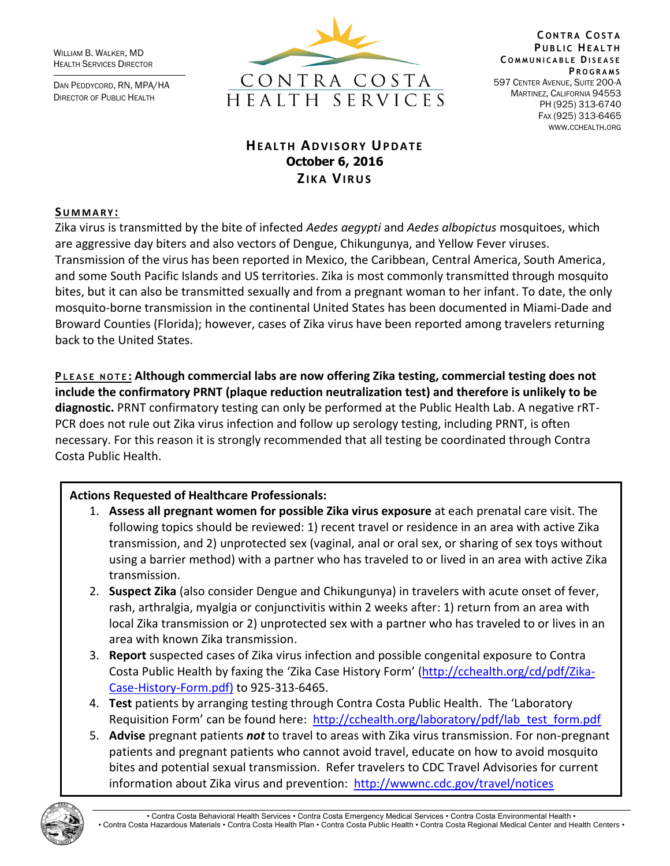WILLIAM B. WALKER, MD HEALTH SERVICES DIRECTOR

DAN PEDDYCORD, RN, MPA/HA DIRECTOR OF PUBLIC HEALTH



**C O N T R A C O S T A PUBLIC HEALTH C O M M U N I C A B L E DI S E A S E P R O G R A M S** 597 CENTER AVENUE, SUITE 200-A MARTINEZ, CALIFORNIA 94553 PH (925) 313-6740 FAX (925) 313-6465 WWW.CCHEALTH.ORG

# **HEALTH ADVISORY UPDATE October 6, 2016 ZIKA VIRUS**

#### **SU M M A R Y :**

Zika virus is transmitted by the bite of infected *Aedes aegypti* and *Aedes albopictus* mosquitoes, which are aggressive day biters and also vectors of Dengue, Chikungunya, and Yellow Fever viruses. Transmission of the virus has been reported in Mexico, the Caribbean, Central America, South America, and some South Pacific Islands and US territories. Zika is most commonly transmitted through mosquito bites, but it can also be transmitted sexually and from a pregnant woman to her infant. To date, the only mosquito-borne transmission in the continental United States has been documented in Miami-Dade and Broward Counties (Florida); however, cases of Zika virus have been reported among travelers returning back to the United States.

**P L E A S E N O T E : Although commercial labs are now offering Zika testing, commercial testing does not include the confirmatory PRNT (plaque reduction neutralization test) and therefore is unlikely to be diagnostic.** PRNT confirmatory testing can only be performed at the Public Health Lab. A negative rRT-PCR does not rule out Zika virus infection and follow up serology testing, including PRNT, is often necessary. For this reason it is strongly recommended that all testing be coordinated through Contra Costa Public Health.

### **Actions Requested of Healthcare Professionals:**

- 1. **Assess all pregnant women for possible Zika virus exposure** at each prenatal care visit. The following topics should be reviewed: 1) recent travel or residence in an area with active Zika transmission, and 2) unprotected sex (vaginal, anal or oral sex, or sharing of sex toys without using a barrier method) with a partner who has traveled to or lived in an area with active Zika transmission.
- 2. **Suspect Zika** (also consider Dengue and Chikungunya) in travelers with acute onset of fever, rash, arthralgia, myalgia or conjunctivitis within 2 weeks after: 1) return from an area with local Zika transmission or 2) unprotected sex with a partner who has traveled to or lives in an area with known Zika transmission.
- 3. **Report** suspected cases of Zika virus infection and possible congenital exposure to Contra Costa Public Health by faxing the 'Zika Case History Form' [\(http://cchealth.org/cd/pdf/Zika-](http://cchealth.org/cd/pdf/Zika-Case-History-Form.pdf)[Case-History-Form.pdf\)](http://cchealth.org/cd/pdf/Zika-Case-History-Form.pdf) to 925-313-6465.
- 4. **Test** patients by arranging testing through Contra Costa Public Health. The 'Laboratory Requisition Form' can be found here: [http://cchealth.org/laboratory/pdf/lab\\_test\\_form.pdf](http://cchealth.org/laboratory/pdf/lab_test_form.pdf)
- 5. **Advise** pregnant patients *not* to travel to areas with Zika virus transmission. For non-pregnant patients and pregnant patients who cannot avoid travel, educate on how to avoid mosquito bites and potential sexual transmission. Refer travelers to CDC Travel Advisories for current information about Zika virus and prevention: <http://wwwnc.cdc.gov/travel/notices>

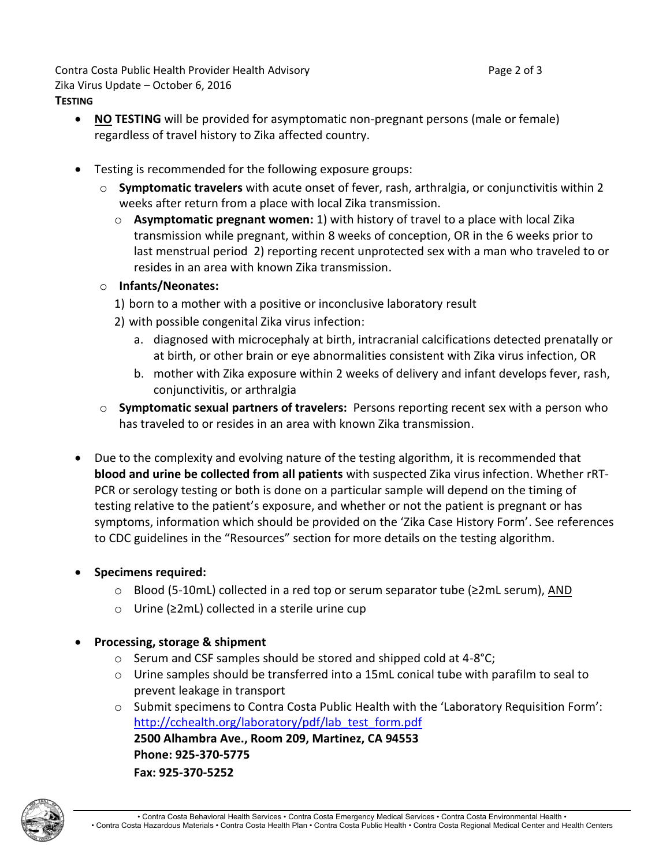Contra Costa Public Health Provider Health Advisory **Page 2 of 3** Page 2 of 3 Zika Virus Update – October 6, 2016 **TESTING**

- NO **TESTING** will be provided for asymptomatic non-pregnant persons (male or female) regardless of travel history to Zika affected country.
- Testing is recommended for the following exposure groups:
	- o **Symptomatic travelers** with acute onset of fever, rash, arthralgia, or conjunctivitis within 2 weeks after return from a place with local Zika transmission.
		- o **Asymptomatic pregnant women:** 1) with history of travel to a place with local Zika transmission while pregnant, within 8 weeks of conception, OR in the 6 weeks prior to last menstrual period 2) reporting recent unprotected sex with a man who traveled to or resides in an area with known Zika transmission.
	- o **Infants/Neonates:**
		- 1) born to a mother with a positive or inconclusive laboratory result
		- 2) with possible congenital Zika virus infection:
			- a. diagnosed with microcephaly at birth, intracranial calcifications detected prenatally or at birth, or other brain or eye abnormalities consistent with Zika virus infection, OR
			- b. mother with Zika exposure within 2 weeks of delivery and infant develops fever, rash, conjunctivitis, or arthralgia
	- o **Symptomatic sexual partners of travelers:** Persons reporting recent sex with a person who has traveled to or resides in an area with known Zika transmission.
- Due to the complexity and evolving nature of the testing algorithm, it is recommended that **blood and urine be collected from all patients** with suspected Zika virus infection. Whether rRT-PCR or serology testing or both is done on a particular sample will depend on the timing of testing relative to the patient's exposure, and whether or not the patient is pregnant or has symptoms, information which should be provided on the 'Zika Case History Form'. See references to CDC guidelines in the "Resources" section for more details on the testing algorithm.

## **Specimens required:**

- o Blood (5-10mL) collected in a red top or serum separator tube (≥2mL serum), AND
- o Urine (≥2mL) collected in a sterile urine cup

## **Processing, storage & shipment**

- o Serum and CSF samples should be stored and shipped cold at 4-8°C;
- $\circ$  Urine samples should be transferred into a 15mL conical tube with parafilm to seal to prevent leakage in transport
- o Submit specimens to Contra Costa Public Health with the 'Laboratory Requisition Form': [http://cchealth.org/laboratory/pdf/lab\\_test\\_form.pdf](http://cchealth.org/laboratory/pdf/lab_test_form.pdf) **2500 Alhambra Ave., Room 209, Martinez, CA 94553 Phone: 925-370-5775 Fax: 925-370-5252**